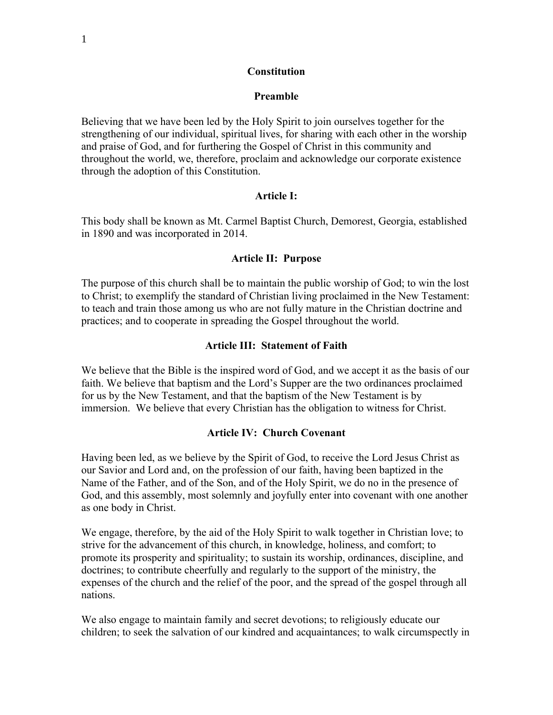#### **Constitution**

#### **Preamble**

Believing that we have been led by the Holy Spirit to join ourselves together for the strengthening of our individual, spiritual lives, for sharing with each other in the worship and praise of God, and for furthering the Gospel of Christ in this community and throughout the world, we, therefore, proclaim and acknowledge our corporate existence through the adoption of this Constitution.

#### **Article I:**

This body shall be known as Mt. Carmel Baptist Church, Demorest, Georgia, established in 1890 and was incorporated in 2014.

#### **Article II: Purpose**

The purpose of this church shall be to maintain the public worship of God; to win the lost to Christ; to exemplify the standard of Christian living proclaimed in the New Testament: to teach and train those among us who are not fully mature in the Christian doctrine and practices; and to cooperate in spreading the Gospel throughout the world.

#### **Article III: Statement of Faith**

We believe that the Bible is the inspired word of God, and we accept it as the basis of our faith. We believe that baptism and the Lord's Supper are the two ordinances proclaimed for us by the New Testament, and that the baptism of the New Testament is by immersion. We believe that every Christian has the obligation to witness for Christ.

#### **Article IV: Church Covenant**

Having been led, as we believe by the Spirit of God, to receive the Lord Jesus Christ as our Savior and Lord and, on the profession of our faith, having been baptized in the Name of the Father, and of the Son, and of the Holy Spirit, we do no in the presence of God, and this assembly, most solemnly and joyfully enter into covenant with one another as one body in Christ.

We engage, therefore, by the aid of the Holy Spirit to walk together in Christian love; to strive for the advancement of this church, in knowledge, holiness, and comfort; to promote its prosperity and spirituality; to sustain its worship, ordinances, discipline, and doctrines; to contribute cheerfully and regularly to the support of the ministry, the expenses of the church and the relief of the poor, and the spread of the gospel through all nations.

We also engage to maintain family and secret devotions; to religiously educate our children; to seek the salvation of our kindred and acquaintances; to walk circumspectly in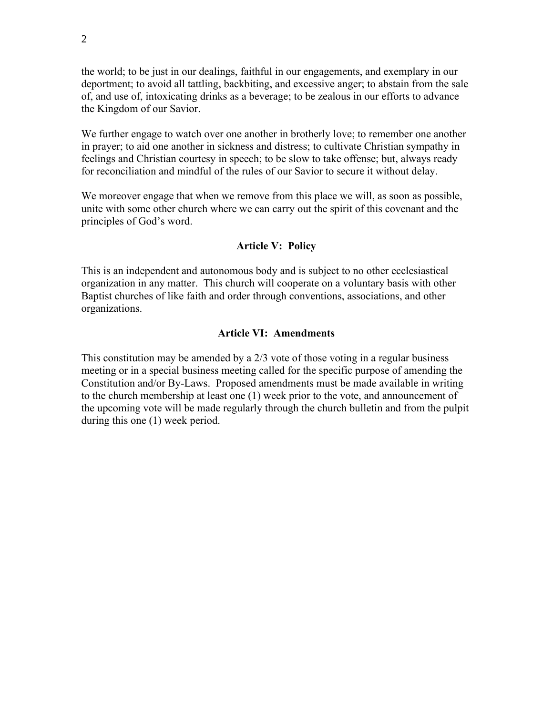the world; to be just in our dealings, faithful in our engagements, and exemplary in our deportment; to avoid all tattling, backbiting, and excessive anger; to abstain from the sale of, and use of, intoxicating drinks as a beverage; to be zealous in our efforts to advance the Kingdom of our Savior.

We further engage to watch over one another in brotherly love; to remember one another in prayer; to aid one another in sickness and distress; to cultivate Christian sympathy in feelings and Christian courtesy in speech; to be slow to take offense; but, always ready for reconciliation and mindful of the rules of our Savior to secure it without delay.

We moreover engage that when we remove from this place we will, as soon as possible, unite with some other church where we can carry out the spirit of this covenant and the principles of God's word.

#### **Article V: Policy**

This is an independent and autonomous body and is subject to no other ecclesiastical organization in any matter. This church will cooperate on a voluntary basis with other Baptist churches of like faith and order through conventions, associations, and other organizations.

#### **Article VI: Amendments**

This constitution may be amended by a 2/3 vote of those voting in a regular business meeting or in a special business meeting called for the specific purpose of amending the Constitution and/or By-Laws. Proposed amendments must be made available in writing to the church membership at least one (1) week prior to the vote, and announcement of the upcoming vote will be made regularly through the church bulletin and from the pulpit during this one (1) week period.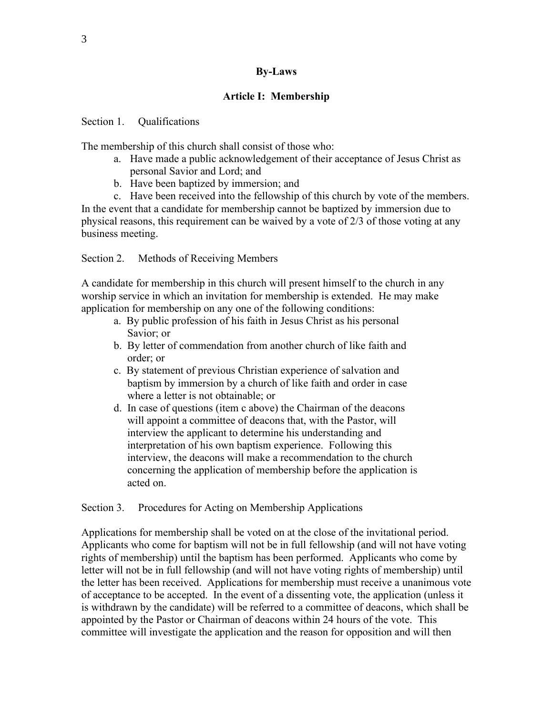### **By-Laws**

### **Article I: Membership**

### Section 1. Qualifications

The membership of this church shall consist of those who:

- a. Have made a public acknowledgement of their acceptance of Jesus Christ as personal Savior and Lord; and
- b. Have been baptized by immersion; and

c. Have been received into the fellowship of this church by vote of the members. In the event that a candidate for membership cannot be baptized by immersion due to physical reasons, this requirement can be waived by a vote of 2/3 of those voting at any business meeting.

Section 2. Methods of Receiving Members

A candidate for membership in this church will present himself to the church in any worship service in which an invitation for membership is extended. He may make application for membership on any one of the following conditions:

- a. By public profession of his faith in Jesus Christ as his personal Savior; or
- b. By letter of commendation from another church of like faith and order; or
- c. By statement of previous Christian experience of salvation and baptism by immersion by a church of like faith and order in case where a letter is not obtainable; or
- d. In case of questions (item c above) the Chairman of the deacons will appoint a committee of deacons that, with the Pastor, will interview the applicant to determine his understanding and interpretation of his own baptism experience. Following this interview, the deacons will make a recommendation to the church concerning the application of membership before the application is acted on.

Section 3. Procedures for Acting on Membership Applications

Applications for membership shall be voted on at the close of the invitational period. Applicants who come for baptism will not be in full fellowship (and will not have voting rights of membership) until the baptism has been performed. Applicants who come by letter will not be in full fellowship (and will not have voting rights of membership) until the letter has been received. Applications for membership must receive a unanimous vote of acceptance to be accepted. In the event of a dissenting vote, the application (unless it is withdrawn by the candidate) will be referred to a committee of deacons, which shall be appointed by the Pastor or Chairman of deacons within 24 hours of the vote. This committee will investigate the application and the reason for opposition and will then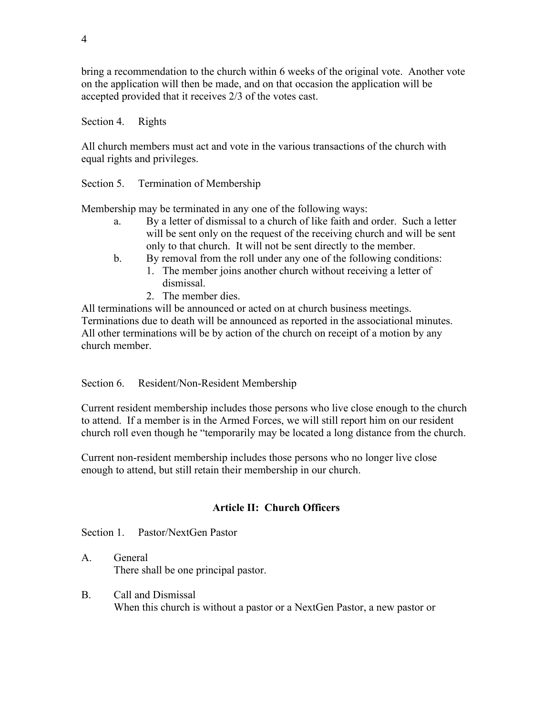bring a recommendation to the church within 6 weeks of the original vote. Another vote on the application will then be made, and on that occasion the application will be accepted provided that it receives 2/3 of the votes cast.

Section 4. Rights

All church members must act and vote in the various transactions of the church with equal rights and privileges.

Section 5. Termination of Membership

Membership may be terminated in any one of the following ways:

- a. By a letter of dismissal to a church of like faith and order. Such a letter will be sent only on the request of the receiving church and will be sent only to that church. It will not be sent directly to the member.
- b. By removal from the roll under any one of the following conditions:
	- 1. The member joins another church without receiving a letter of dismissal.
	- 2. The member dies.

All terminations will be announced or acted on at church business meetings. Terminations due to death will be announced as reported in the associational minutes. All other terminations will be by action of the church on receipt of a motion by any church member.

Section 6. Resident/Non-Resident Membership

Current resident membership includes those persons who live close enough to the church to attend. If a member is in the Armed Forces, we will still report him on our resident church roll even though he "temporarily may be located a long distance from the church.

Current non-resident membership includes those persons who no longer live close enough to attend, but still retain their membership in our church.

## **Article II: Church Officers**

Section 1. Pastor/NextGen Pastor

A. General There shall be one principal pastor.

B. Call and Dismissal When this church is without a pastor or a NextGen Pastor, a new pastor or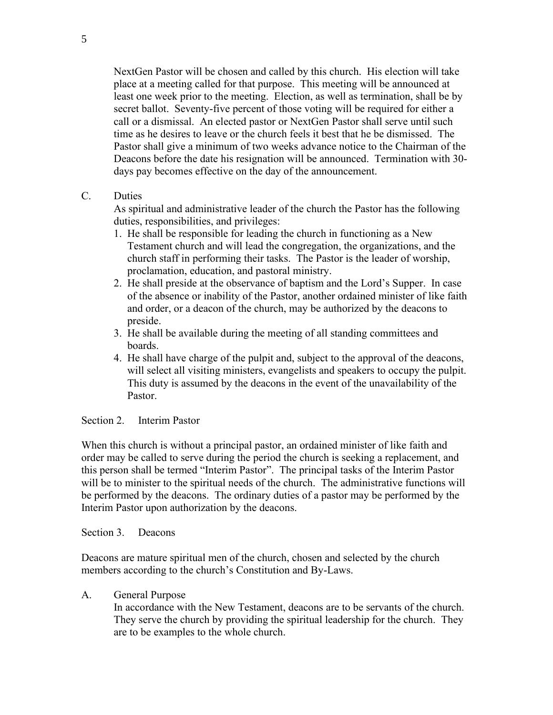NextGen Pastor will be chosen and called by this church. His election will take place at a meeting called for that purpose. This meeting will be announced at least one week prior to the meeting. Election, as well as termination, shall be by secret ballot. Seventy-five percent of those voting will be required for either a call or a dismissal. An elected pastor or NextGen Pastor shall serve until such time as he desires to leave or the church feels it best that he be dismissed. The Pastor shall give a minimum of two weeks advance notice to the Chairman of the Deacons before the date his resignation will be announced. Termination with 30 days pay becomes effective on the day of the announcement.

### C. Duties

As spiritual and administrative leader of the church the Pastor has the following duties, responsibilities, and privileges:

- 1. He shall be responsible for leading the church in functioning as a New Testament church and will lead the congregation, the organizations, and the church staff in performing their tasks. The Pastor is the leader of worship, proclamation, education, and pastoral ministry.
- 2. He shall preside at the observance of baptism and the Lord's Supper. In case of the absence or inability of the Pastor, another ordained minister of like faith and order, or a deacon of the church, may be authorized by the deacons to preside.
- 3. He shall be available during the meeting of all standing committees and boards.
- 4. He shall have charge of the pulpit and, subject to the approval of the deacons, will select all visiting ministers, evangelists and speakers to occupy the pulpit. This duty is assumed by the deacons in the event of the unavailability of the Pastor.

### Section 2. Interim Pastor

When this church is without a principal pastor, an ordained minister of like faith and order may be called to serve during the period the church is seeking a replacement, and this person shall be termed "Interim Pastor". The principal tasks of the Interim Pastor will be to minister to the spiritual needs of the church. The administrative functions will be performed by the deacons. The ordinary duties of a pastor may be performed by the Interim Pastor upon authorization by the deacons.

Section 3. Deacons

Deacons are mature spiritual men of the church, chosen and selected by the church members according to the church's Constitution and By-Laws.

### A. General Purpose

In accordance with the New Testament, deacons are to be servants of the church. They serve the church by providing the spiritual leadership for the church. They are to be examples to the whole church.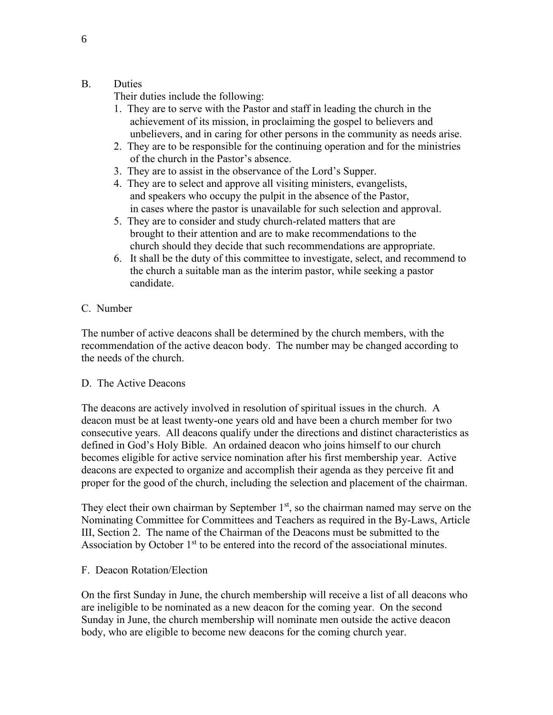### B. Duties

Their duties include the following:

- 1. They are to serve with the Pastor and staff in leading the church in the achievement of its mission, in proclaiming the gospel to believers and unbelievers, and in caring for other persons in the community as needs arise.
- 2. They are to be responsible for the continuing operation and for the ministries of the church in the Pastor's absence.
- 3. They are to assist in the observance of the Lord's Supper.
- 4. They are to select and approve all visiting ministers, evangelists, and speakers who occupy the pulpit in the absence of the Pastor, in cases where the pastor is unavailable for such selection and approval.
- 5. They are to consider and study church-related matters that are brought to their attention and are to make recommendations to the church should they decide that such recommendations are appropriate.
- 6. It shall be the duty of this committee to investigate, select, and recommend to the church a suitable man as the interim pastor, while seeking a pastor candidate.

### C. Number

The number of active deacons shall be determined by the church members, with the recommendation of the active deacon body. The number may be changed according to the needs of the church.

### D. The Active Deacons

The deacons are actively involved in resolution of spiritual issues in the church. A deacon must be at least twenty-one years old and have been a church member for two consecutive years. All deacons qualify under the directions and distinct characteristics as defined in God's Holy Bible. An ordained deacon who joins himself to our church becomes eligible for active service nomination after his first membership year. Active deacons are expected to organize and accomplish their agenda as they perceive fit and proper for the good of the church, including the selection and placement of the chairman.

They elect their own chairman by September  $1<sup>st</sup>$ , so the chairman named may serve on the Nominating Committee for Committees and Teachers as required in the By-Laws, Article III, Section 2. The name of the Chairman of the Deacons must be submitted to the Association by October  $1<sup>st</sup>$  to be entered into the record of the associational minutes.

### F. Deacon Rotation/Election

On the first Sunday in June, the church membership will receive a list of all deacons who are ineligible to be nominated as a new deacon for the coming year. On the second Sunday in June, the church membership will nominate men outside the active deacon body, who are eligible to become new deacons for the coming church year.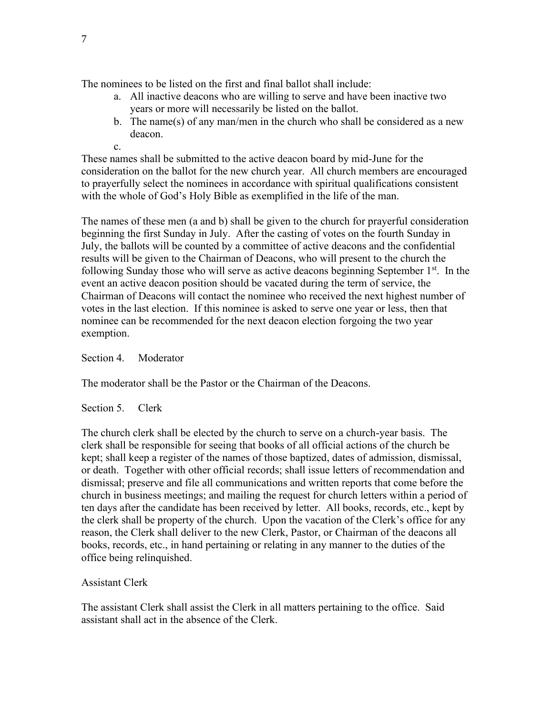The nominees to be listed on the first and final ballot shall include:

- a. All inactive deacons who are willing to serve and have been inactive two years or more will necessarily be listed on the ballot.
- b. The name(s) of any man/men in the church who shall be considered as a new deacon.
- c.

These names shall be submitted to the active deacon board by mid-June for the consideration on the ballot for the new church year. All church members are encouraged to prayerfully select the nominees in accordance with spiritual qualifications consistent with the whole of God's Holy Bible as exemplified in the life of the man.

The names of these men (a and b) shall be given to the church for prayerful consideration beginning the first Sunday in July. After the casting of votes on the fourth Sunday in July, the ballots will be counted by a committee of active deacons and the confidential results will be given to the Chairman of Deacons, who will present to the church the following Sunday those who will serve as active deacons beginning September  $1<sup>st</sup>$ . In the event an active deacon position should be vacated during the term of service, the Chairman of Deacons will contact the nominee who received the next highest number of votes in the last election. If this nominee is asked to serve one year or less, then that nominee can be recommended for the next deacon election forgoing the two year exemption.

Section 4. Moderator

The moderator shall be the Pastor or the Chairman of the Deacons.

Section 5. Clerk

The church clerk shall be elected by the church to serve on a church-year basis. The clerk shall be responsible for seeing that books of all official actions of the church be kept; shall keep a register of the names of those baptized, dates of admission, dismissal, or death. Together with other official records; shall issue letters of recommendation and dismissal; preserve and file all communications and written reports that come before the church in business meetings; and mailing the request for church letters within a period of ten days after the candidate has been received by letter. All books, records, etc., kept by the clerk shall be property of the church. Upon the vacation of the Clerk's office for any reason, the Clerk shall deliver to the new Clerk, Pastor, or Chairman of the deacons all books, records, etc., in hand pertaining or relating in any manner to the duties of the office being relinquished.

## Assistant Clerk

The assistant Clerk shall assist the Clerk in all matters pertaining to the office. Said assistant shall act in the absence of the Clerk.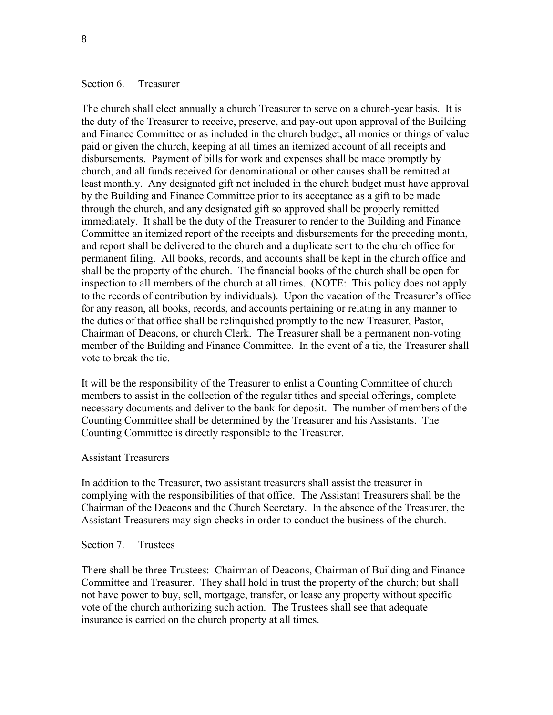#### Section 6. Treasurer

The church shall elect annually a church Treasurer to serve on a church-year basis. It is the duty of the Treasurer to receive, preserve, and pay-out upon approval of the Building and Finance Committee or as included in the church budget, all monies or things of value paid or given the church, keeping at all times an itemized account of all receipts and disbursements. Payment of bills for work and expenses shall be made promptly by church, and all funds received for denominational or other causes shall be remitted at least monthly. Any designated gift not included in the church budget must have approval by the Building and Finance Committee prior to its acceptance as a gift to be made through the church, and any designated gift so approved shall be properly remitted immediately. It shall be the duty of the Treasurer to render to the Building and Finance Committee an itemized report of the receipts and disbursements for the preceding month, and report shall be delivered to the church and a duplicate sent to the church office for permanent filing. All books, records, and accounts shall be kept in the church office and shall be the property of the church. The financial books of the church shall be open for inspection to all members of the church at all times. (NOTE: This policy does not apply to the records of contribution by individuals). Upon the vacation of the Treasurer's office for any reason, all books, records, and accounts pertaining or relating in any manner to the duties of that office shall be relinquished promptly to the new Treasurer, Pastor, Chairman of Deacons, or church Clerk. The Treasurer shall be a permanent non-voting member of the Building and Finance Committee. In the event of a tie, the Treasurer shall vote to break the tie.

It will be the responsibility of the Treasurer to enlist a Counting Committee of church members to assist in the collection of the regular tithes and special offerings, complete necessary documents and deliver to the bank for deposit. The number of members of the Counting Committee shall be determined by the Treasurer and his Assistants. The Counting Committee is directly responsible to the Treasurer.

#### Assistant Treasurers

In addition to the Treasurer, two assistant treasurers shall assist the treasurer in complying with the responsibilities of that office. The Assistant Treasurers shall be the Chairman of the Deacons and the Church Secretary. In the absence of the Treasurer, the Assistant Treasurers may sign checks in order to conduct the business of the church.

#### Section 7. Trustees

There shall be three Trustees: Chairman of Deacons, Chairman of Building and Finance Committee and Treasurer. They shall hold in trust the property of the church; but shall not have power to buy, sell, mortgage, transfer, or lease any property without specific vote of the church authorizing such action. The Trustees shall see that adequate insurance is carried on the church property at all times.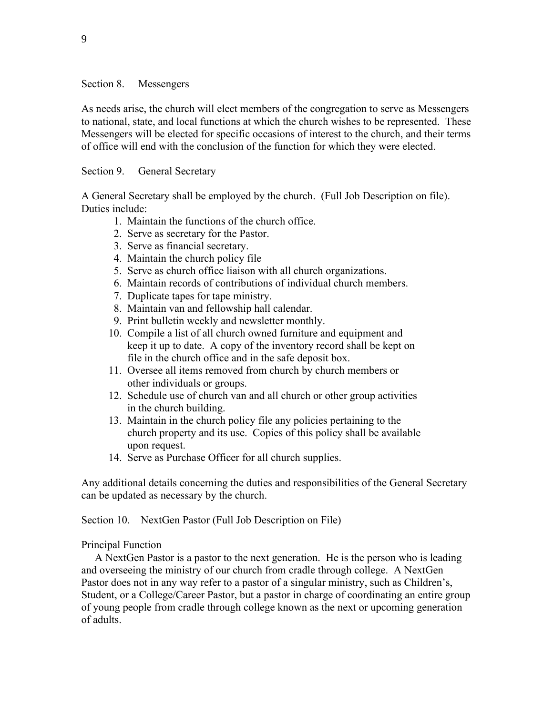#### Section 8. Messengers

As needs arise, the church will elect members of the congregation to serve as Messengers to national, state, and local functions at which the church wishes to be represented. These Messengers will be elected for specific occasions of interest to the church, and their terms of office will end with the conclusion of the function for which they were elected.

### Section 9. General Secretary

A General Secretary shall be employed by the church. (Full Job Description on file). Duties include:

- 1. Maintain the functions of the church office.
- 2. Serve as secretary for the Pastor.
- 3. Serve as financial secretary.
- 4. Maintain the church policy file
- 5. Serve as church office liaison with all church organizations.
- 6. Maintain records of contributions of individual church members.
- 7. Duplicate tapes for tape ministry.
- 8. Maintain van and fellowship hall calendar.
- 9. Print bulletin weekly and newsletter monthly.
- 10. Compile a list of all church owned furniture and equipment and keep it up to date. A copy of the inventory record shall be kept on file in the church office and in the safe deposit box.
- 11. Oversee all items removed from church by church members or other individuals or groups.
- 12. Schedule use of church van and all church or other group activities in the church building.
- 13. Maintain in the church policy file any policies pertaining to the church property and its use. Copies of this policy shall be available upon request.
- 14. Serve as Purchase Officer for all church supplies.

Any additional details concerning the duties and responsibilities of the General Secretary can be updated as necessary by the church.

Section 10. NextGen Pastor (Full Job Description on File)

### Principal Function

 A NextGen Pastor is a pastor to the next generation. He is the person who is leading and overseeing the ministry of our church from cradle through college. A NextGen Pastor does not in any way refer to a pastor of a singular ministry, such as Children's, Student, or a College/Career Pastor, but a pastor in charge of coordinating an entire group of young people from cradle through college known as the next or upcoming generation of adults.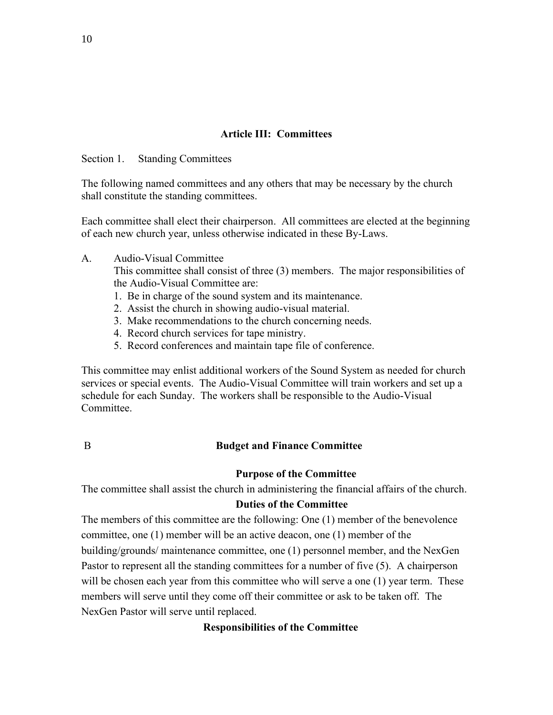## **Article III: Committees**

Section 1. Standing Committees

The following named committees and any others that may be necessary by the church shall constitute the standing committees.

Each committee shall elect their chairperson. All committees are elected at the beginning of each new church year, unless otherwise indicated in these By-Laws.

### A. Audio-Visual Committee

This committee shall consist of three (3) members. The major responsibilities of the Audio-Visual Committee are:

- 1. Be in charge of the sound system and its maintenance.
- 2. Assist the church in showing audio-visual material.
- 3. Make recommendations to the church concerning needs.
- 4. Record church services for tape ministry.
- 5. Record conferences and maintain tape file of conference.

This committee may enlist additional workers of the Sound System as needed for church services or special events. The Audio-Visual Committee will train workers and set up a schedule for each Sunday. The workers shall be responsible to the Audio-Visual Committee.

### B **Budget and Finance Committee**

#### **Purpose of the Committee**

The committee shall assist the church in administering the financial affairs of the church.

#### **Duties of the Committee**

The members of this committee are the following: One (1) member of the benevolence committee, one (1) member will be an active deacon, one (1) member of the building/grounds/ maintenance committee, one (1) personnel member, and the NexGen Pastor to represent all the standing committees for a number of five (5). A chairperson will be chosen each year from this committee who will serve a one (1) year term. These members will serve until they come off their committee or ask to be taken off. The NexGen Pastor will serve until replaced.

#### **Responsibilities of the Committee**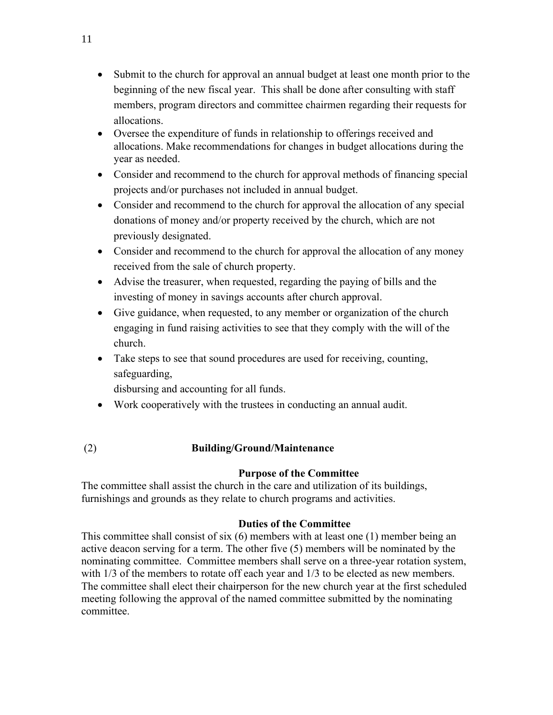- Submit to the church for approval an annual budget at least one month prior to the beginning of the new fiscal year. This shall be done after consulting with staff members, program directors and committee chairmen regarding their requests for allocations.
- Oversee the expenditure of funds in relationship to offerings received and allocations. Make recommendations for changes in budget allocations during the year as needed.
- Consider and recommend to the church for approval methods of financing special projects and/or purchases not included in annual budget.
- Consider and recommend to the church for approval the allocation of any special donations of money and/or property received by the church, which are not previously designated.
- Consider and recommend to the church for approval the allocation of any money received from the sale of church property.
- Advise the treasurer, when requested, regarding the paying of bills and the investing of money in savings accounts after church approval.
- Give guidance, when requested, to any member or organization of the church engaging in fund raising activities to see that they comply with the will of the church.
- Take steps to see that sound procedures are used for receiving, counting, safeguarding,

disbursing and accounting for all funds.

- Work cooperatively with the trustees in conducting an annual audit.
- (2) **Building/Ground/Maintenance**

## **Purpose of the Committee**

The committee shall assist the church in the care and utilization of its buildings, furnishings and grounds as they relate to church programs and activities.

## **Duties of the Committee**

This committee shall consist of six (6) members with at least one (1) member being an active deacon serving for a term. The other five (5) members will be nominated by the nominating committee. Committee members shall serve on a three-year rotation system, with  $1/3$  of the members to rotate off each year and  $1/3$  to be elected as new members. The committee shall elect their chairperson for the new church year at the first scheduled meeting following the approval of the named committee submitted by the nominating committee.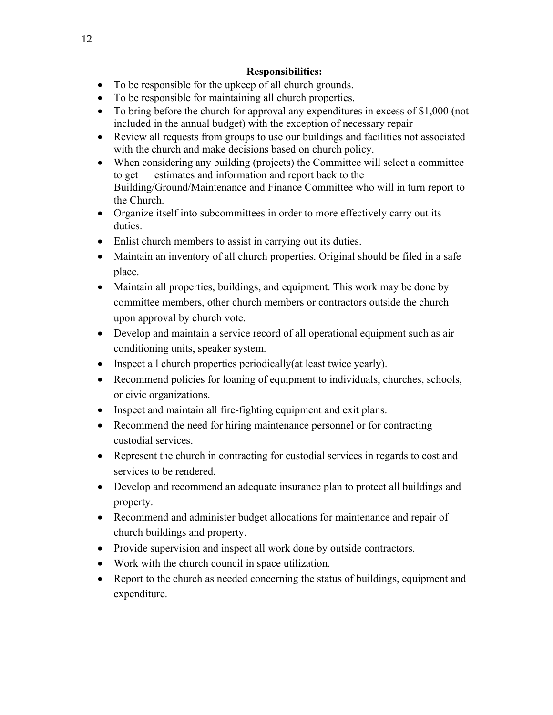## **Responsibilities:**

- To be responsible for the upkeep of all church grounds.
- To be responsible for maintaining all church properties.
- To bring before the church for approval any expenditures in excess of \$1,000 (not included in the annual budget) with the exception of necessary repair
- Review all requests from groups to use our buildings and facilities not associated with the church and make decisions based on church policy.
- When considering any building (projects) the Committee will select a committee to get estimates and information and report back to the Building/Ground/Maintenance and Finance Committee who will in turn report to the Church.
- Organize itself into subcommittees in order to more effectively carry out its duties.
- Enlist church members to assist in carrying out its duties.
- Maintain an inventory of all church properties. Original should be filed in a safe place.
- Maintain all properties, buildings, and equipment. This work may be done by committee members, other church members or contractors outside the church upon approval by church vote.
- Develop and maintain a service record of all operational equipment such as air conditioning units, speaker system.
- Inspect all church properties periodically (at least twice yearly).
- Recommend policies for loaning of equipment to individuals, churches, schools, or civic organizations.
- Inspect and maintain all fire-fighting equipment and exit plans.
- Recommend the need for hiring maintenance personnel or for contracting custodial services.
- Represent the church in contracting for custodial services in regards to cost and services to be rendered.
- Develop and recommend an adequate insurance plan to protect all buildings and property.
- Recommend and administer budget allocations for maintenance and repair of church buildings and property.
- Provide supervision and inspect all work done by outside contractors.
- Work with the church council in space utilization.
- Report to the church as needed concerning the status of buildings, equipment and expenditure.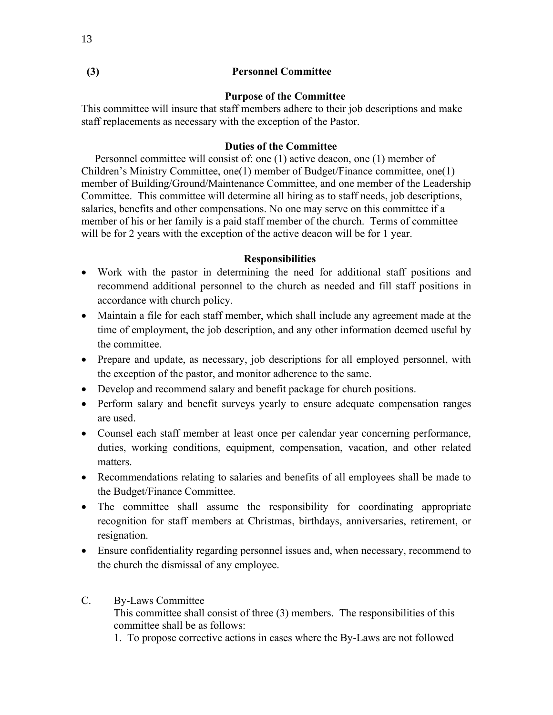### **(3) Personnel Committee**

### **Purpose of the Committee**

This committee will insure that staff members adhere to their job descriptions and make staff replacements as necessary with the exception of the Pastor.

#### **Duties of the Committee**

 Personnel committee will consist of: one (1) active deacon, one (1) member of Children's Ministry Committee, one(1) member of Budget/Finance committee, one(1) member of Building/Ground/Maintenance Committee, and one member of the Leadership Committee. This committee will determine all hiring as to staff needs, job descriptions, salaries, benefits and other compensations. No one may serve on this committee if a member of his or her family is a paid staff member of the church. Terms of committee will be for 2 years with the exception of the active deacon will be for 1 year.

#### **Responsibilities**

- Work with the pastor in determining the need for additional staff positions and recommend additional personnel to the church as needed and fill staff positions in accordance with church policy.
- Maintain a file for each staff member, which shall include any agreement made at the time of employment, the job description, and any other information deemed useful by the committee.
- Prepare and update, as necessary, job descriptions for all employed personnel, with the exception of the pastor, and monitor adherence to the same.
- Develop and recommend salary and benefit package for church positions.
- Perform salary and benefit surveys yearly to ensure adequate compensation ranges are used.
- Counsel each staff member at least once per calendar year concerning performance, duties, working conditions, equipment, compensation, vacation, and other related matters.
- Recommendations relating to salaries and benefits of all employees shall be made to the Budget/Finance Committee.
- The committee shall assume the responsibility for coordinating appropriate recognition for staff members at Christmas, birthdays, anniversaries, retirement, or resignation.
- Ensure confidentiality regarding personnel issues and, when necessary, recommend to the church the dismissal of any employee.
- C. By-Laws Committee This committee shall consist of three (3) members. The responsibilities of this committee shall be as follows: 1. To propose corrective actions in cases where the By-Laws are not followed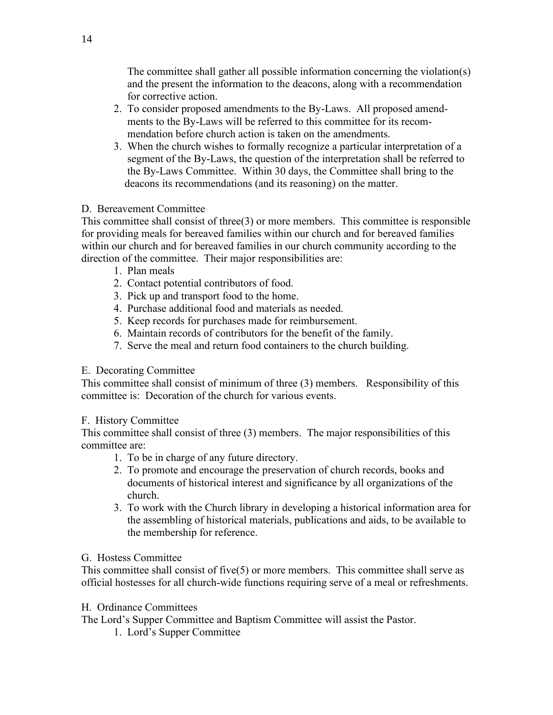The committee shall gather all possible information concerning the violation(s) and the present the information to the deacons, along with a recommendation for corrective action.

- 2. To consider proposed amendments to the By-Laws. All proposed amend ments to the By-Laws will be referred to this committee for its recom mendation before church action is taken on the amendments.
- 3. When the church wishes to formally recognize a particular interpretation of a segment of the By-Laws, the question of the interpretation shall be referred to the By-Laws Committee. Within 30 days, the Committee shall bring to the deacons its recommendations (and its reasoning) on the matter.

### D. Bereavement Committee

This committee shall consist of three $(3)$  or more members. This committee is responsible for providing meals for bereaved families within our church and for bereaved families within our church and for bereaved families in our church community according to the direction of the committee. Their major responsibilities are:

- 1. Plan meals
- 2. Contact potential contributors of food.
- 3. Pick up and transport food to the home.
- 4. Purchase additional food and materials as needed.
- 5. Keep records for purchases made for reimbursement.
- 6. Maintain records of contributors for the benefit of the family.
- 7. Serve the meal and return food containers to the church building.

## E. Decorating Committee

This committee shall consist of minimum of three (3) members. Responsibility of this committee is: Decoration of the church for various events.

## F. History Committee

This committee shall consist of three (3) members. The major responsibilities of this committee are:

- 1. To be in charge of any future directory.
- 2. To promote and encourage the preservation of church records, books and documents of historical interest and significance by all organizations of the church.
- 3. To work with the Church library in developing a historical information area for the assembling of historical materials, publications and aids, to be available to the membership for reference.

## G. Hostess Committee

This committee shall consist of five(5) or more members. This committee shall serve as official hostesses for all church-wide functions requiring serve of a meal or refreshments.

## H. Ordinance Committees

The Lord's Supper Committee and Baptism Committee will assist the Pastor.

1. Lord's Supper Committee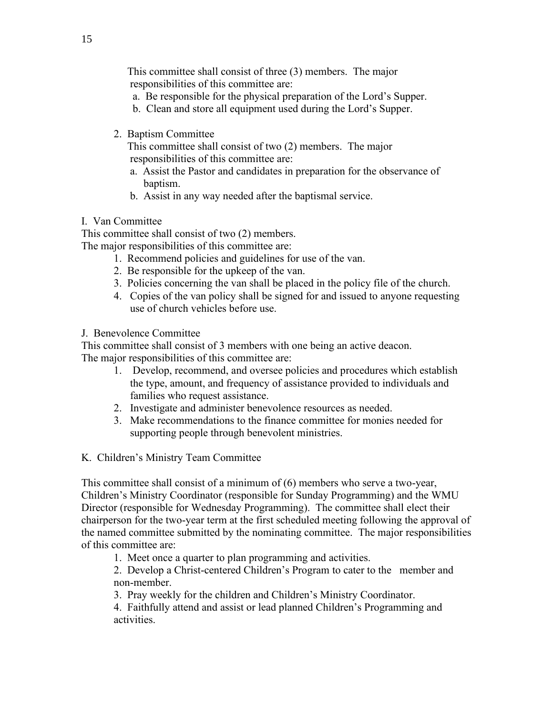This committee shall consist of three (3) members. The major responsibilities of this committee are:

- a. Be responsible for the physical preparation of the Lord's Supper.
- b. Clean and store all equipment used during the Lord's Supper.
- 2. Baptism Committee

 This committee shall consist of two (2) members. The major responsibilities of this committee are:

- a. Assist the Pastor and candidates in preparation for the observance of baptism.
- b. Assist in any way needed after the baptismal service.

## I. Van Committee

This committee shall consist of two (2) members.

The major responsibilities of this committee are:

- 1. Recommend policies and guidelines for use of the van.
- 2. Be responsible for the upkeep of the van.
- 3. Policies concerning the van shall be placed in the policy file of the church.
- 4. Copies of the van policy shall be signed for and issued to anyone requesting use of church vehicles before use.

J. Benevolence Committee

This committee shall consist of 3 members with one being an active deacon. The major responsibilities of this committee are:

- 1. Develop, recommend, and oversee policies and procedures which establish the type, amount, and frequency of assistance provided to individuals and families who request assistance.
- 2. Investigate and administer benevolence resources as needed.
- 3. Make recommendations to the finance committee for monies needed for supporting people through benevolent ministries.
- K. Children's Ministry Team Committee

This committee shall consist of a minimum of (6) members who serve a two-year, Children's Ministry Coordinator (responsible for Sunday Programming) and the WMU Director (responsible for Wednesday Programming). The committee shall elect their chairperson for the two-year term at the first scheduled meeting following the approval of the named committee submitted by the nominating committee. The major responsibilities of this committee are:

1. Meet once a quarter to plan programming and activities.

2. Develop a Christ-centered Children's Program to cater to the member and non-member.

3. Pray weekly for the children and Children's Ministry Coordinator.

4. Faithfully attend and assist or lead planned Children's Programming and activities.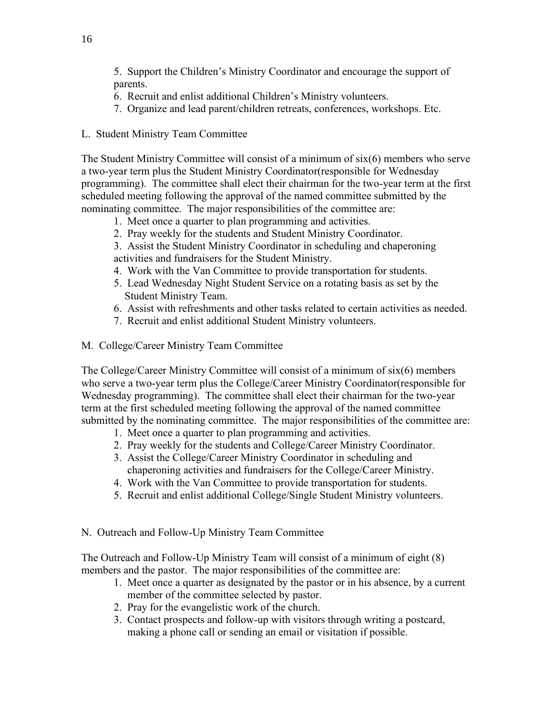5. Support the Children's Ministry Coordinator and encourage the support of parents.

- 6. Recruit and enlist additional Children's Ministry volunteers.
- 7. Organize and lead parent/children retreats, conferences, workshops. Etc.
- L. Student Ministry Team Committee

The Student Ministry Committee will consist of a minimum of six(6) members who serve a two-year term plus the Student Ministry Coordinator(responsible for Wednesday programming). The committee shall elect their chairman for the two-year term at the first scheduled meeting following the approval of the named committee submitted by the nominating committee. The major responsibilities of the committee are:

- 1. Meet once a quarter to plan programming and activities.
- 2. Pray weekly for the students and Student Ministry Coordinator.
- 3. Assist the Student Ministry Coordinator in scheduling and chaperoning activities and fundraisers for the Student Ministry.
- 4. Work with the Van Committee to provide transportation for students.
- 5. Lead Wednesday Night Student Service on a rotating basis as set by the Student Ministry Team.
- 6. Assist with refreshments and other tasks related to certain activities as needed.
- 7. Recruit and enlist additional Student Ministry volunteers.
- M. College/Career Ministry Team Committee

The College/Career Ministry Committee will consist of a minimum of six(6) members who serve a two-year term plus the College/Career Ministry Coordinator(responsible for Wednesday programming). The committee shall elect their chairman for the two-year term at the first scheduled meeting following the approval of the named committee submitted by the nominating committee. The major responsibilities of the committee are:

- 1. Meet once a quarter to plan programming and activities.
- 2. Pray weekly for the students and College/Career Ministry Coordinator.
- 3. Assist the College/Career Ministry Coordinator in scheduling and chaperoning activities and fundraisers for the College/Career Ministry.
- 4. Work with the Van Committee to provide transportation for students.
- 5. Recruit and enlist additional College/Single Student Ministry volunteers.
- N. Outreach and Follow-Up Ministry Team Committee

The Outreach and Follow-Up Ministry Team will consist of a minimum of eight (8) members and the pastor. The major responsibilities of the committee are:

- 1. Meet once a quarter as designated by the pastor or in his absence, by a current member of the committee selected by pastor.
- 2. Pray for the evangelistic work of the church.
- 3. Contact prospects and follow-up with visitors through writing a postcard, making a phone call or sending an email or visitation if possible.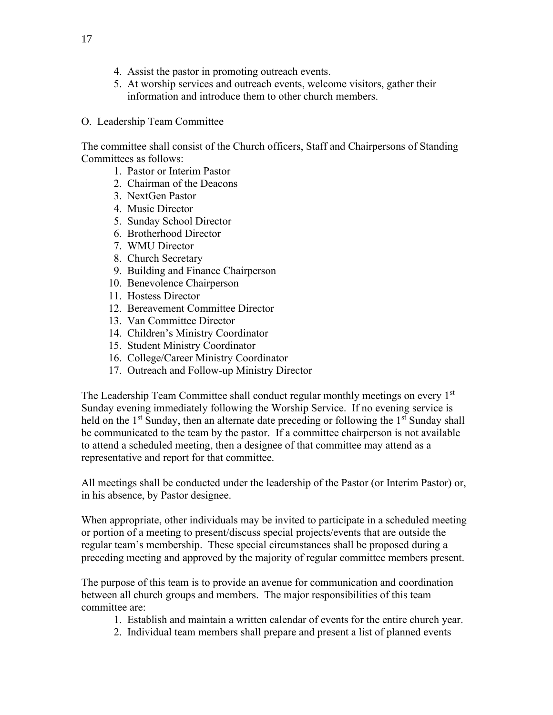- 4. Assist the pastor in promoting outreach events.
- 5. At worship services and outreach events, welcome visitors, gather their information and introduce them to other church members.
- O. Leadership Team Committee

The committee shall consist of the Church officers, Staff and Chairpersons of Standing Committees as follows:

- 1. Pastor or Interim Pastor
- 2. Chairman of the Deacons
- 3. NextGen Pastor
- 4. Music Director
- 5. Sunday School Director
- 6. Brotherhood Director
- 7. WMU Director
- 8. Church Secretary
- 9. Building and Finance Chairperson
- 10. Benevolence Chairperson
- 11. Hostess Director
- 12. Bereavement Committee Director
- 13. Van Committee Director
- 14. Children's Ministry Coordinator
- 15. Student Ministry Coordinator
- 16. College/Career Ministry Coordinator
- 17. Outreach and Follow-up Ministry Director

The Leadership Team Committee shall conduct regular monthly meetings on every 1<sup>st</sup> Sunday evening immediately following the Worship Service. If no evening service is held on the  $1<sup>st</sup>$  Sunday, then an alternate date preceding or following the  $1<sup>st</sup>$  Sunday shall be communicated to the team by the pastor. If a committee chairperson is not available to attend a scheduled meeting, then a designee of that committee may attend as a representative and report for that committee.

All meetings shall be conducted under the leadership of the Pastor (or Interim Pastor) or, in his absence, by Pastor designee.

When appropriate, other individuals may be invited to participate in a scheduled meeting or portion of a meeting to present/discuss special projects/events that are outside the regular team's membership. These special circumstances shall be proposed during a preceding meeting and approved by the majority of regular committee members present.

The purpose of this team is to provide an avenue for communication and coordination between all church groups and members. The major responsibilities of this team committee are:

- 1. Establish and maintain a written calendar of events for the entire church year.
- 2. Individual team members shall prepare and present a list of planned events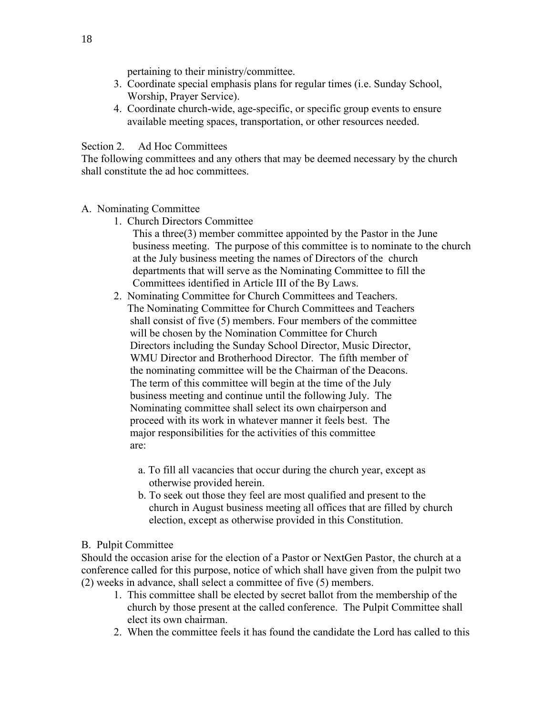pertaining to their ministry/committee.

- 3. Coordinate special emphasis plans for regular times (i.e. Sunday School, Worship, Prayer Service).
- 4. Coordinate church-wide, age-specific, or specific group events to ensure available meeting spaces, transportation, or other resources needed.

Section 2. Ad Hoc Committees

The following committees and any others that may be deemed necessary by the church shall constitute the ad hoc committees.

- A. Nominating Committee
	- 1. Church Directors Committee
		- This a three(3) member committee appointed by the Pastor in the June business meeting. The purpose of this committee is to nominate to the church at the July business meeting the names of Directors of the church departments that will serve as the Nominating Committee to fill the Committees identified in Article III of the By Laws.
	- 2. Nominating Committee for Church Committees and Teachers. The Nominating Committee for Church Committees and Teachers shall consist of five (5) members. Four members of the committee will be chosen by the Nomination Committee for Church Directors including the Sunday School Director, Music Director, WMU Director and Brotherhood Director. The fifth member of the nominating committee will be the Chairman of the Deacons. The term of this committee will begin at the time of the July business meeting and continue until the following July. The Nominating committee shall select its own chairperson and proceed with its work in whatever manner it feels best. The major responsibilities for the activities of this committee are:
		- a. To fill all vacancies that occur during the church year, except as otherwise provided herein.
		- b. To seek out those they feel are most qualified and present to the church in August business meeting all offices that are filled by church election, except as otherwise provided in this Constitution.

### B. Pulpit Committee

Should the occasion arise for the election of a Pastor or NextGen Pastor, the church at a conference called for this purpose, notice of which shall have given from the pulpit two (2) weeks in advance, shall select a committee of five (5) members.

- 1. This committee shall be elected by secret ballot from the membership of the church by those present at the called conference. The Pulpit Committee shall elect its own chairman.
- 2. When the committee feels it has found the candidate the Lord has called to this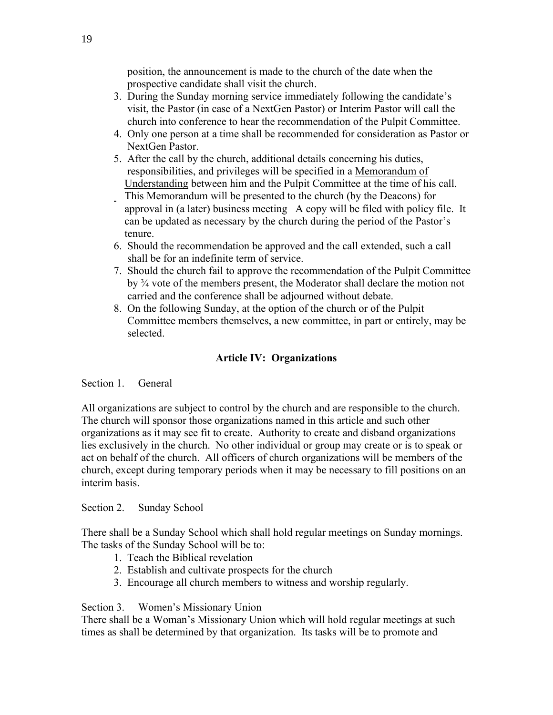position, the announcement is made to the church of the date when the prospective candidate shall visit the church.

- 3. During the Sunday morning service immediately following the candidate's visit, the Pastor (in case of a NextGen Pastor) or Interim Pastor will call the church into conference to hear the recommendation of the Pulpit Committee.
- 4. Only one person at a time shall be recommended for consideration as Pastor or NextGen Pastor.
- 5. After the call by the church, additional details concerning his duties, responsibilities, and privileges will be specified in a Memorandum of Understanding between him and the Pulpit Committee at the time of his call. This Memorandum will be presented to the church (by the Deacons) for approval in (a later) business meeting A copy will be filed with policy file. It can be updated as necessary by the church during the period of the Pastor's tenure.
- 6. Should the recommendation be approved and the call extended, such a call shall be for an indefinite term of service.
- 7. Should the church fail to approve the recommendation of the Pulpit Committee by ¾ vote of the members present, the Moderator shall declare the motion not carried and the conference shall be adjourned without debate.
- 8. On the following Sunday, at the option of the church or of the Pulpit Committee members themselves, a new committee, in part or entirely, may be selected.

## **Article IV: Organizations**

### Section 1. General

All organizations are subject to control by the church and are responsible to the church. The church will sponsor those organizations named in this article and such other organizations as it may see fit to create. Authority to create and disband organizations lies exclusively in the church. No other individual or group may create or is to speak or act on behalf of the church. All officers of church organizations will be members of the church, except during temporary periods when it may be necessary to fill positions on an interim basis.

### Section 2. Sunday School

There shall be a Sunday School which shall hold regular meetings on Sunday mornings. The tasks of the Sunday School will be to:

- 1. Teach the Biblical revelation
- 2. Establish and cultivate prospects for the church
- 3. Encourage all church members to witness and worship regularly.

### Section 3. Women's Missionary Union

There shall be a Woman's Missionary Union which will hold regular meetings at such times as shall be determined by that organization. Its tasks will be to promote and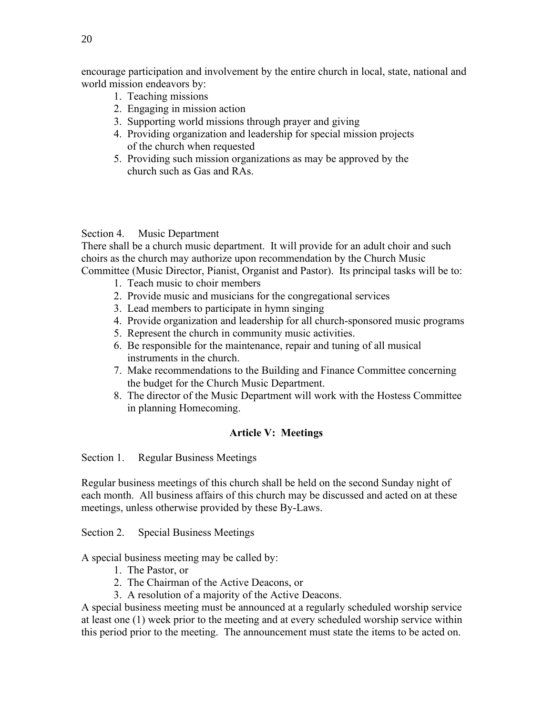encourage participation and involvement by the entire church in local, state, national and world mission endeavors by:

- 1. Teaching missions
- 2. Engaging in mission action
- 3. Supporting world missions through prayer and giving
- 4. Providing organization and leadership for special mission projects of the church when requested
- 5. Providing such mission organizations as may be approved by the church such as Gas and RAs.

### Section 4. Music Department

There shall be a church music department. It will provide for an adult choir and such choirs as the church may authorize upon recommendation by the Church Music Committee (Music Director, Pianist, Organist and Pastor). Its principal tasks will be to:

- 1. Teach music to choir members
- 2. Provide music and musicians for the congregational services
- 3. Lead members to participate in hymn singing
- 4. Provide organization and leadership for all church-sponsored music programs
- 5. Represent the church in community music activities.
- 6. Be responsible for the maintenance, repair and tuning of all musical instruments in the church.
- 7. Make recommendations to the Building and Finance Committee concerning the budget for the Church Music Department.
- 8. The director of the Music Department will work with the Hostess Committee in planning Homecoming.

## **Article V: Meetings**

Section 1. Regular Business Meetings

Regular business meetings of this church shall be held on the second Sunday night of each month. All business affairs of this church may be discussed and acted on at these meetings, unless otherwise provided by these By-Laws.

Section 2. Special Business Meetings

A special business meeting may be called by:

- 1. The Pastor, or
- 2. The Chairman of the Active Deacons, or
- 3. A resolution of a majority of the Active Deacons.

A special business meeting must be announced at a regularly scheduled worship service at least one (1) week prior to the meeting and at every scheduled worship service within this period prior to the meeting. The announcement must state the items to be acted on.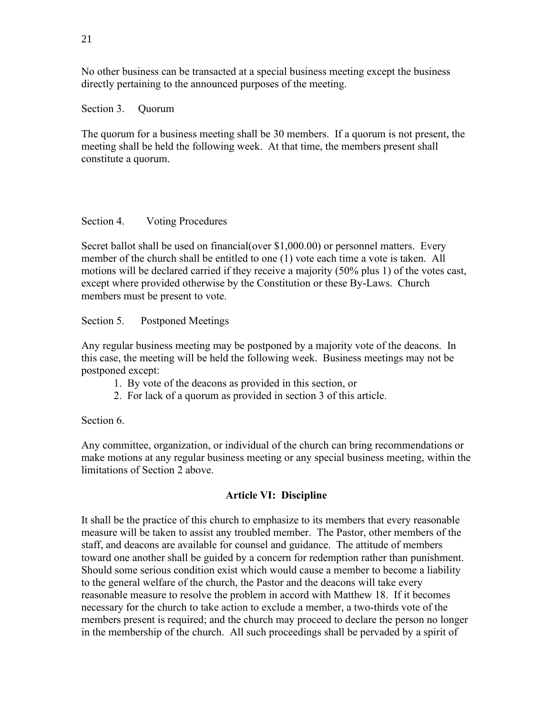No other business can be transacted at a special business meeting except the business directly pertaining to the announced purposes of the meeting.

### Section 3. Quorum

The quorum for a business meeting shall be 30 members. If a quorum is not present, the meeting shall be held the following week. At that time, the members present shall constitute a quorum.

## Section 4. Voting Procedures

Secret ballot shall be used on financial(over \$1,000.00) or personnel matters. Every member of the church shall be entitled to one (1) vote each time a vote is taken. All motions will be declared carried if they receive a majority (50% plus 1) of the votes cast, except where provided otherwise by the Constitution or these By-Laws. Church members must be present to vote.

Section 5. Postponed Meetings

Any regular business meeting may be postponed by a majority vote of the deacons. In this case, the meeting will be held the following week. Business meetings may not be postponed except:

- 1. By vote of the deacons as provided in this section, or
- 2. For lack of a quorum as provided in section 3 of this article.

Section 6.

Any committee, organization, or individual of the church can bring recommendations or make motions at any regular business meeting or any special business meeting, within the limitations of Section 2 above.

## **Article VI: Discipline**

It shall be the practice of this church to emphasize to its members that every reasonable measure will be taken to assist any troubled member. The Pastor, other members of the staff, and deacons are available for counsel and guidance. The attitude of members toward one another shall be guided by a concern for redemption rather than punishment. Should some serious condition exist which would cause a member to become a liability to the general welfare of the church, the Pastor and the deacons will take every reasonable measure to resolve the problem in accord with Matthew 18. If it becomes necessary for the church to take action to exclude a member, a two-thirds vote of the members present is required; and the church may proceed to declare the person no longer in the membership of the church. All such proceedings shall be pervaded by a spirit of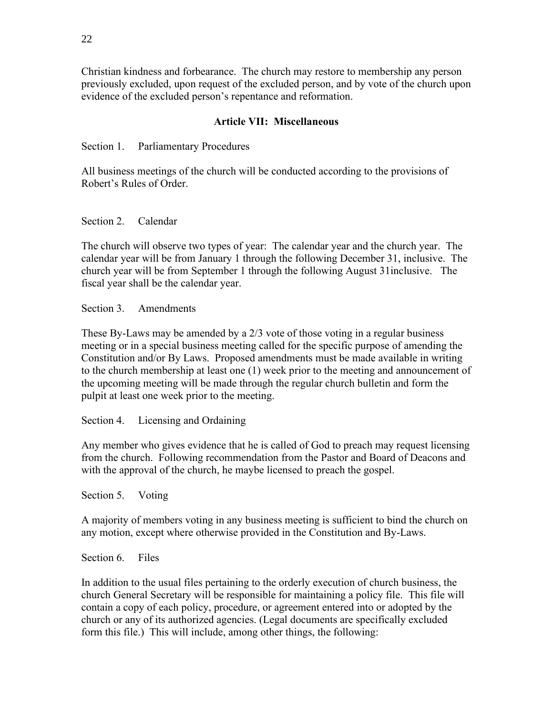Christian kindness and forbearance. The church may restore to membership any person previously excluded, upon request of the excluded person, and by vote of the church upon evidence of the excluded person's repentance and reformation.

### **Article VII: Miscellaneous**

Section 1. Parliamentary Procedures

All business meetings of the church will be conducted according to the provisions of Robert's Rules of Order.

### Section 2. Calendar

The church will observe two types of year: The calendar year and the church year. The calendar year will be from January 1 through the following December 31, inclusive. The church year will be from September 1 through the following August 31inclusive. The fiscal year shall be the calendar year.

Section 3. Amendments

These By-Laws may be amended by a 2/3 vote of those voting in a regular business meeting or in a special business meeting called for the specific purpose of amending the Constitution and/or By Laws. Proposed amendments must be made available in writing to the church membership at least one (1) week prior to the meeting and announcement of the upcoming meeting will be made through the regular church bulletin and form the pulpit at least one week prior to the meeting.

Section 4. Licensing and Ordaining

Any member who gives evidence that he is called of God to preach may request licensing from the church. Following recommendation from the Pastor and Board of Deacons and with the approval of the church, he maybe licensed to preach the gospel.

Section 5. Voting

A majority of members voting in any business meeting is sufficient to bind the church on any motion, except where otherwise provided in the Constitution and By-Laws.

Section 6. Files

In addition to the usual files pertaining to the orderly execution of church business, the church General Secretary will be responsible for maintaining a policy file. This file will contain a copy of each policy, procedure, or agreement entered into or adopted by the church or any of its authorized agencies. (Legal documents are specifically excluded form this file.) This will include, among other things, the following: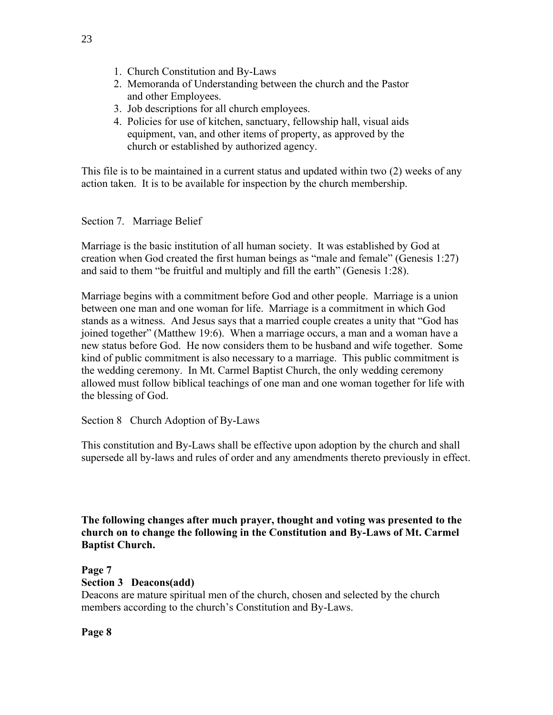- 1. Church Constitution and By-Laws
- 2. Memoranda of Understanding between the church and the Pastor and other Employees.
- 3. Job descriptions for all church employees.
- 4. Policies for use of kitchen, sanctuary, fellowship hall, visual aids equipment, van, and other items of property, as approved by the church or established by authorized agency.

This file is to be maintained in a current status and updated within two (2) weeks of any action taken. It is to be available for inspection by the church membership.

### Section 7. Marriage Belief

Marriage is the basic institution of all human society. It was established by God at creation when God created the first human beings as "male and female" (Genesis 1:27) and said to them "be fruitful and multiply and fill the earth" (Genesis 1:28).

Marriage begins with a commitment before God and other people. Marriage is a union between one man and one woman for life. Marriage is a commitment in which God stands as a witness. And Jesus says that a married couple creates a unity that "God has joined together" (Matthew 19:6). When a marriage occurs, a man and a woman have a new status before God. He now considers them to be husband and wife together. Some kind of public commitment is also necessary to a marriage. This public commitment is the wedding ceremony. In Mt. Carmel Baptist Church, the only wedding ceremony allowed must follow biblical teachings of one man and one woman together for life with the blessing of God.

Section 8 Church Adoption of By-Laws

This constitution and By-Laws shall be effective upon adoption by the church and shall supersede all by-laws and rules of order and any amendments thereto previously in effect.

**The following changes after much prayer, thought and voting was presented to the church on to change the following in the Constitution and By-Laws of Mt. Carmel Baptist Church.**

# **Page 7**

### **Section 3 Deacons(add)**

Deacons are mature spiritual men of the church, chosen and selected by the church members according to the church's Constitution and By-Laws.

**Page 8**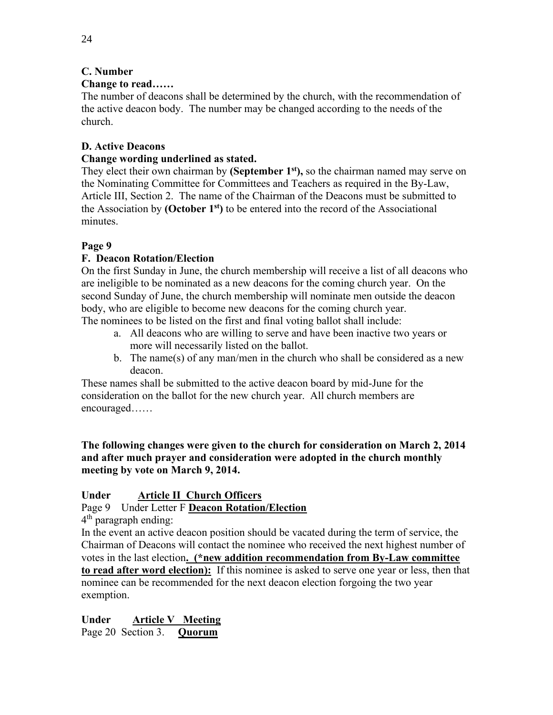## **C. Number**

## **Change to read……**

The number of deacons shall be determined by the church, with the recommendation of the active deacon body. The number may be changed according to the needs of the church.

## **D. Active Deacons**

## **Change wording underlined as stated.**

They elect their own chairman by **(September 1st),** so the chairman named may serve on the Nominating Committee for Committees and Teachers as required in the By-Law, Article III, Section 2. The name of the Chairman of the Deacons must be submitted to the Association by **(October 1st)** to be entered into the record of the Associational minutes.

## **Page 9**

## **F. Deacon Rotation/Election**

On the first Sunday in June, the church membership will receive a list of all deacons who are ineligible to be nominated as a new deacons for the coming church year. On the second Sunday of June, the church membership will nominate men outside the deacon body, who are eligible to become new deacons for the coming church year. The nominees to be listed on the first and final voting ballot shall include:

- a. All deacons who are willing to serve and have been inactive two years or more will necessarily listed on the ballot.
- b. The name(s) of any man/men in the church who shall be considered as a new deacon.

These names shall be submitted to the active deacon board by mid-June for the consideration on the ballot for the new church year. All church members are encouraged……

**The following changes were given to the church for consideration on March 2, 2014 and after much prayer and consideration were adopted in the church monthly meeting by vote on March 9, 2014.**

## **Under Article II Church Officers**

Page 9 Under Letter F **Deacon Rotation/Election**

4<sup>th</sup> paragraph ending:

In the event an active deacon position should be vacated during the term of service, the Chairman of Deacons will contact the nominee who received the next highest number of votes in the last election**. (\*new addition recommendation from By-Law committee to read after word election):** If this nominee is asked to serve one year or less, then that nominee can be recommended for the next deacon election forgoing the two year exemption.

**Under Article V Meeting** Page 20 Section 3. **Quorum**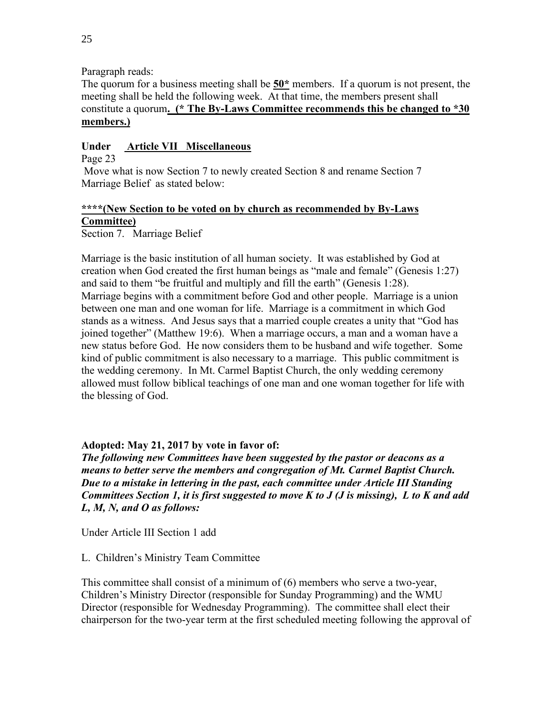Paragraph reads:

The quorum for a business meeting shall be **50\*** members. If a quorum is not present, the meeting shall be held the following week. At that time, the members present shall constitute a quorum**. (\* The By-Laws Committee recommends this be changed to \*30 members.)**

## **Under Article VII Miscellaneous**

Page 23

Move what is now Section 7 to newly created Section 8 and rename Section 7 Marriage Belief as stated below:

## **\*\*\*\*(New Section to be voted on by church as recommended by By-Laws Committee)**

Section 7. Marriage Belief

Marriage is the basic institution of all human society. It was established by God at creation when God created the first human beings as "male and female" (Genesis 1:27) and said to them "be fruitful and multiply and fill the earth" (Genesis 1:28). Marriage begins with a commitment before God and other people. Marriage is a union between one man and one woman for life. Marriage is a commitment in which God stands as a witness. And Jesus says that a married couple creates a unity that "God has joined together" (Matthew 19:6). When a marriage occurs, a man and a woman have a new status before God. He now considers them to be husband and wife together. Some kind of public commitment is also necessary to a marriage. This public commitment is the wedding ceremony. In Mt. Carmel Baptist Church, the only wedding ceremony allowed must follow biblical teachings of one man and one woman together for life with the blessing of God.

## **Adopted: May 21, 2017 by vote in favor of:**

*The following new Committees have been suggested by the pastor or deacons as a means to better serve the members and congregation of Mt. Carmel Baptist Church. Due to a mistake in lettering in the past, each committee under Article III Standing Committees Section 1, it is first suggested to move K to J (J is missing), L to K and add L, M, N, and O as follows:*

Under Article III Section 1 add

## L. Children's Ministry Team Committee

This committee shall consist of a minimum of (6) members who serve a two-year, Children's Ministry Director (responsible for Sunday Programming) and the WMU Director (responsible for Wednesday Programming). The committee shall elect their chairperson for the two-year term at the first scheduled meeting following the approval of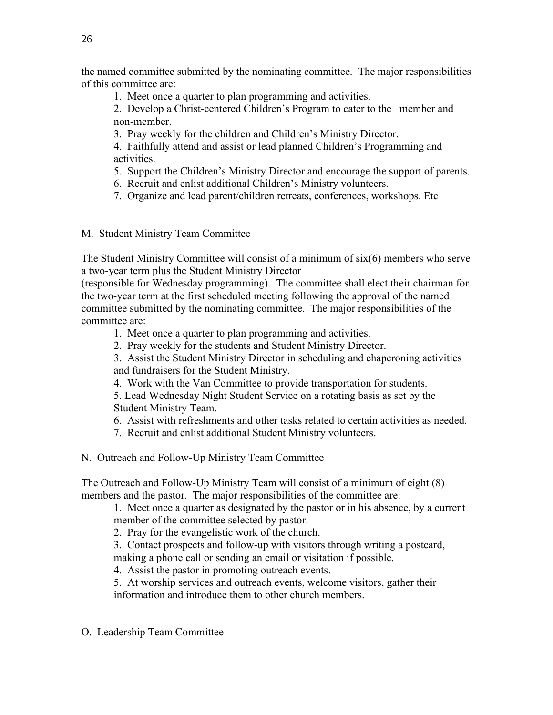the named committee submitted by the nominating committee. The major responsibilities of this committee are:

1. Meet once a quarter to plan programming and activities.

2. Develop a Christ-centered Children's Program to cater to the member and non-member.

3. Pray weekly for the children and Children's Ministry Director.

4. Faithfully attend and assist or lead planned Children's Programming and activities.

- 5. Support the Children's Ministry Director and encourage the support of parents.
- 6. Recruit and enlist additional Children's Ministry volunteers.
- 7. Organize and lead parent/children retreats, conferences, workshops. Etc

M. Student Ministry Team Committee

The Student Ministry Committee will consist of a minimum of six(6) members who serve a two-year term plus the Student Ministry Director

(responsible for Wednesday programming). The committee shall elect their chairman for the two-year term at the first scheduled meeting following the approval of the named committee submitted by the nominating committee. The major responsibilities of the committee are:

- 1. Meet once a quarter to plan programming and activities.
- 2. Pray weekly for the students and Student Ministry Director.
- 3. Assist the Student Ministry Director in scheduling and chaperoning activities

and fundraisers for the Student Ministry.

- 4. Work with the Van Committee to provide transportation for students.
- 5. Lead Wednesday Night Student Service on a rotating basis as set by the Student Ministry Team.
- 6. Assist with refreshments and other tasks related to certain activities as needed.
- 7. Recruit and enlist additional Student Ministry volunteers.
- N. Outreach and Follow-Up Ministry Team Committee

The Outreach and Follow-Up Ministry Team will consist of a minimum of eight (8) members and the pastor. The major responsibilities of the committee are:

1. Meet once a quarter as designated by the pastor or in his absence, by a current member of the committee selected by pastor.

- 2. Pray for the evangelistic work of the church.
- 3. Contact prospects and follow-up with visitors through writing a postcard, making a phone call or sending an email or visitation if possible.
- 4. Assist the pastor in promoting outreach events.

5. At worship services and outreach events, welcome visitors, gather their information and introduce them to other church members.

O. Leadership Team Committee